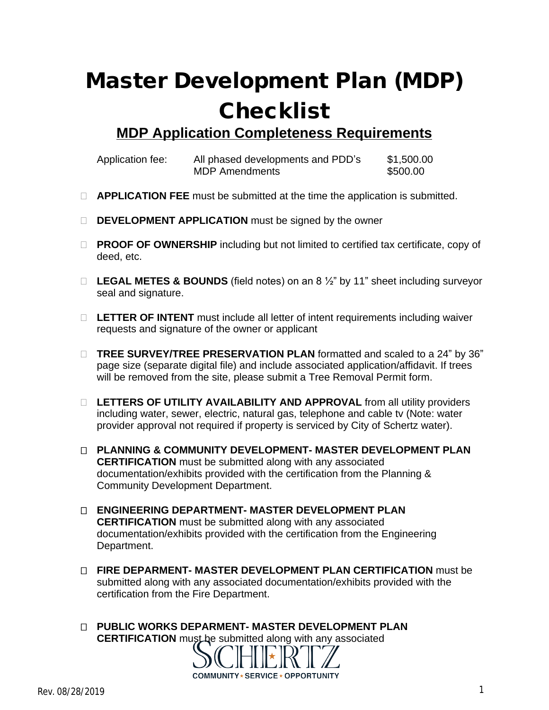## **Master Development Plan (MDP) Checklist**

**MDP Application Completeness Requirements**

| Application fee: | All phased developments and PDD's | \$1,500.00 |
|------------------|-----------------------------------|------------|
|                  | <b>MDP Amendments</b>             | \$500.00   |

- **APPLICATION FEE** must be submitted at the time the application is submitted.
- **DEVELOPMENT APPLICATION** must be signed by the owner
- **PROOF OF OWNERSHIP** including but not limited to certified tax certificate, copy of deed, etc.
- **LEGAL METES & BOUNDS** (field notes) on an 8 ½" by 11" sheet including surveyor seal and signature.
- □ LETTER OF INTENT must include all letter of intent requirements including waiver requests and signature of the owner or applicant
- **TREE SURVEY/TREE PRESERVATION PLAN** formatted and scaled to a 24" by 36" page size (separate digital file) and include associated application/affidavit. If trees will be removed from the site, please submit a Tree Removal Permit form.
- **LETTERS OF UTILITY AVAILABILITY AND APPROVAL** from all utility providers including water, sewer, electric, natural gas, telephone and cable tv (Note: water provider approval not required if property is serviced by City of Schertz water).
- **PLANNING & COMMUNITY DEVELOPMENT- MASTER DEVELOPMENT PLAN CERTIFICATION** must be submitted along with any associated documentation/exhibits provided with the certification from the Planning & Community Development Department.
- **ENGINEERING DEPARTMENT- MASTER DEVELOPMENT PLAN CERTIFICATION** must be submitted along with any associated documentation/exhibits provided with the certification from the Engineering Department.
- **FIRE DEPARMENT- MASTER DEVELOPMENT PLAN CERTIFICATION** must be submitted along with any associated documentation/exhibits provided with the certification from the Fire Department.
- **PUBLIC WORKS DEPARMENT- MASTER DEVELOPMENT PLAN CERTIFICATION** must be submitted along with any associated